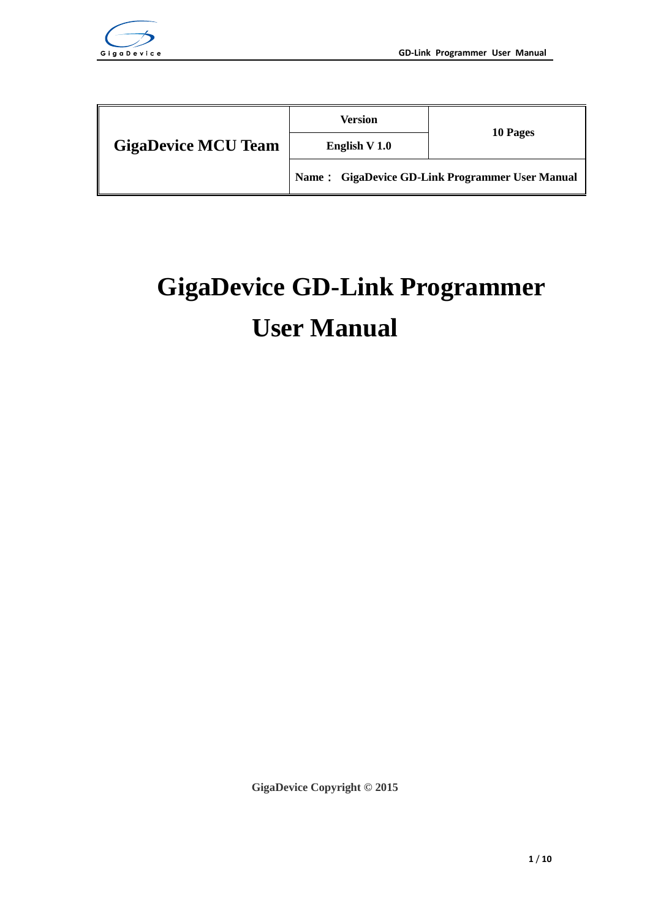

|                            | Version                                         |          |  |  |  |
|----------------------------|-------------------------------------------------|----------|--|--|--|
| <b>GigaDevice MCU Team</b> | English V 1.0                                   | 10 Pages |  |  |  |
|                            | Name: GigaDevice GD-Link Programmer User Manual |          |  |  |  |

# <span id="page-0-0"></span>**GigaDevice GD-Link Programmer User Manual**

**GigaDevice Copyright © 2015**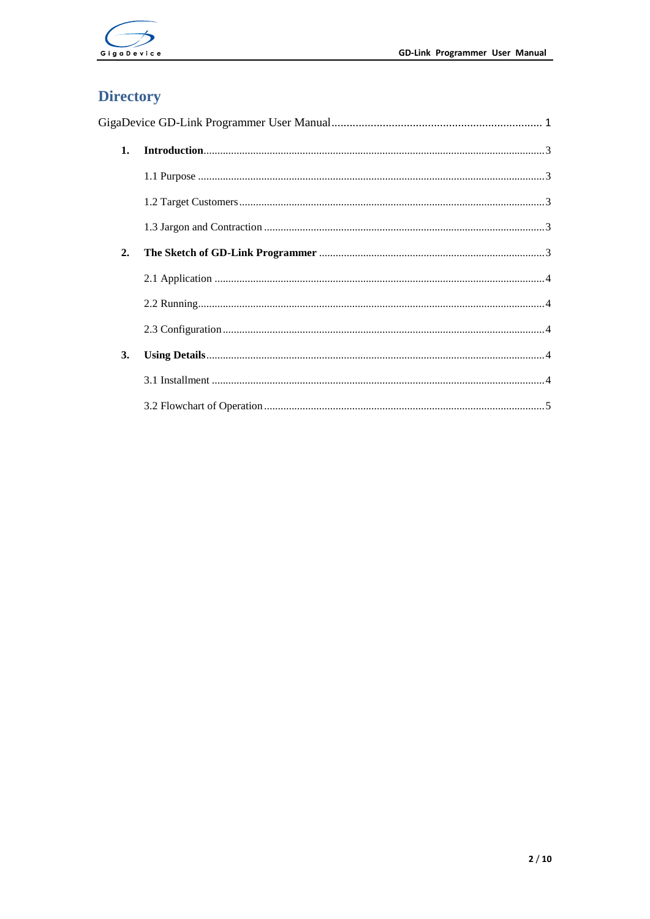

# **Directory**

| 1. | $\textbf{Introduction} \textit{} \textit{} \textit{} \textit{} \textit{} \textit{} \textit{} \textit{} \textit{} \textit{} \textit{} \textit{} \textit{} \textit{} \textit{} \textit{} \textit{} \textit{} \textit{} \textit{} \textit{} \textit{} \textit{} \textit{} \textit{} \textit{} \textit{} \textit{} \textit{} \textit{} \textit{} \textit{} \textit{} \textit{} \textit{} \textit{$ |  |  |  |  |  |
|----|------------------------------------------------------------------------------------------------------------------------------------------------------------------------------------------------------------------------------------------------------------------------------------------------------------------------------------------------------------------------------------------------|--|--|--|--|--|
|    |                                                                                                                                                                                                                                                                                                                                                                                                |  |  |  |  |  |
|    |                                                                                                                                                                                                                                                                                                                                                                                                |  |  |  |  |  |
|    |                                                                                                                                                                                                                                                                                                                                                                                                |  |  |  |  |  |
| 2. |                                                                                                                                                                                                                                                                                                                                                                                                |  |  |  |  |  |
|    |                                                                                                                                                                                                                                                                                                                                                                                                |  |  |  |  |  |
|    |                                                                                                                                                                                                                                                                                                                                                                                                |  |  |  |  |  |
|    |                                                                                                                                                                                                                                                                                                                                                                                                |  |  |  |  |  |
| 3. |                                                                                                                                                                                                                                                                                                                                                                                                |  |  |  |  |  |
|    |                                                                                                                                                                                                                                                                                                                                                                                                |  |  |  |  |  |
|    |                                                                                                                                                                                                                                                                                                                                                                                                |  |  |  |  |  |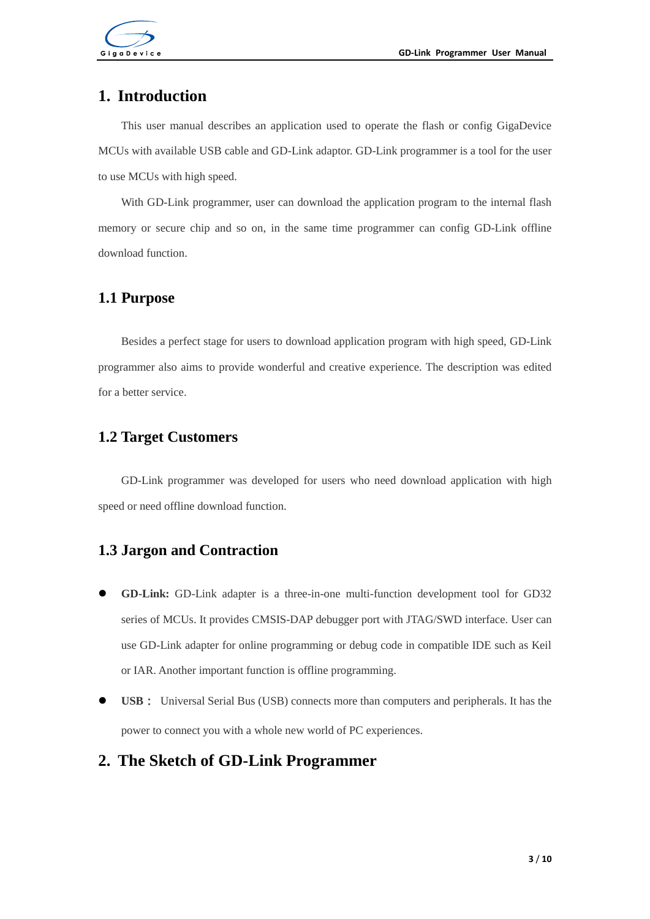

## <span id="page-2-0"></span>**1. Introduction**

This user manual describes an application used to operate the flash or config GigaDevice MCUs with available USB cable and GD-Link adaptor. GD-Link programmer is a tool for the user to use MCUs with high speed.

With GD-Link programmer, user can download the application program to the internal flash memory or secure chip and so on, in the same time programmer can config GD-Link offline download function.

#### <span id="page-2-1"></span>**1.1 Purpose**

Besides a perfect stage for users to download application program with high speed, GD-Link programmer also aims to provide wonderful and creative experience. The description was edited for a better service.

#### <span id="page-2-2"></span>**1.2 Target Customers**

GD-Link programmer was developed for users who need download application with high speed or need offline download function.

### <span id="page-2-3"></span>**1.3 Jargon and Contraction**

- **GD-Link:** GD-Link adapter is a three-in-one multi-function development tool for GD32 series of MCUs. It provides CMSIS-DAP debugger port with JTAG/SWD interface. User can use GD-Link adapter for online programming or debug code in compatible IDE such as Keil or IAR. Another important function is offline programming.
- **USB**: Universal Serial Bus (USB) connects more than computers and peripherals. It has the power to connect you with a whole new world of PC experiences.

### <span id="page-2-4"></span>**2. The Sketch of GD-Link Programmer**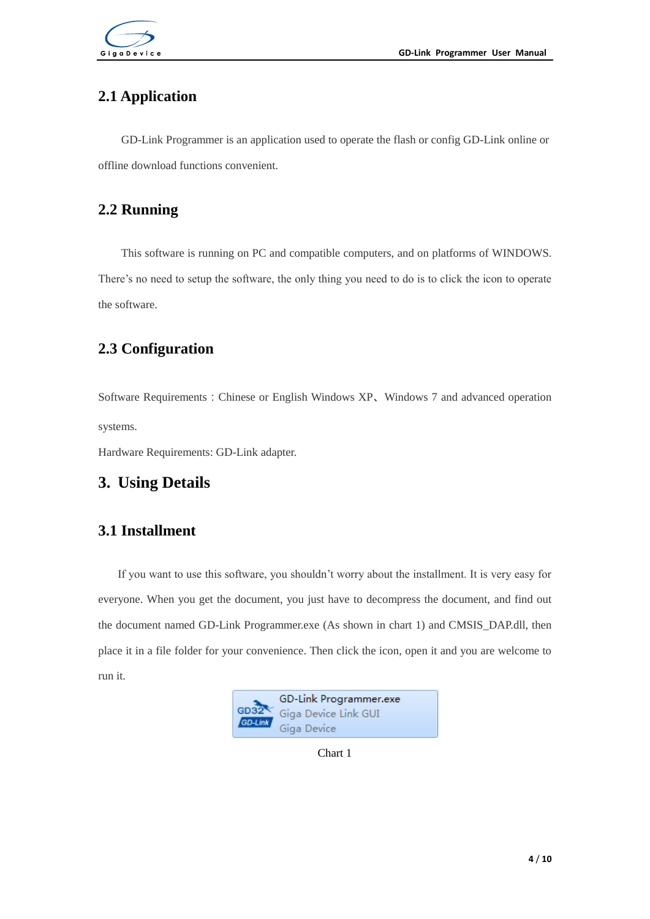

# <span id="page-3-0"></span>**2.1 Application**

GD-Link Programmer is an application used to operate the flash or config GD-Link online or offline download functions convenient.

# <span id="page-3-1"></span>**2.2 Running**

This software is running on PC and compatible computers, and on platforms of WINDOWS. There's no need to setup the software, the only thing you need to do is to click the icon to operate the software.

# <span id="page-3-2"></span>**2.3 Configuration**

Software Requirements:Chinese or English Windows XP、Windows 7 and advanced operation systems.

Hardware Requirements: GD-Link adapter.

# <span id="page-3-4"></span><span id="page-3-3"></span>**3. Using Details**

## **3.1 Installment**

If you want to use this software, you shouldn't worry about the installment. It is very easy for everyone. When you get the document, you just have to decompress the document, and find out the document named GD-Link Programmer.exe (As shown in chart 1) and CMSIS\_DAP.dll, then place it in a file folder for your convenience. Then click the icon, open it and you are welcome to run it.



Chart 1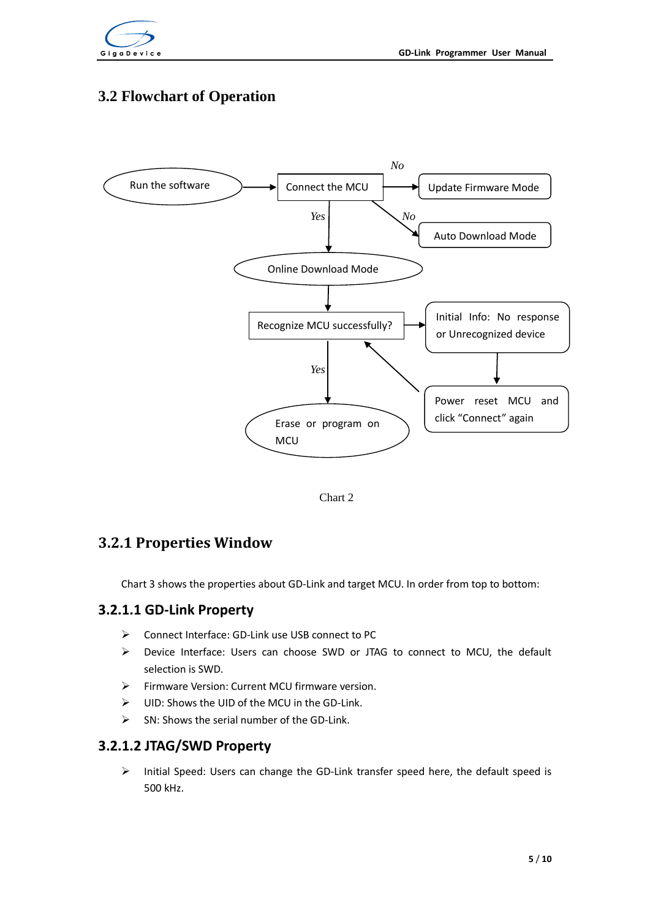

# <span id="page-4-0"></span>**3.2 Flowchart of Operation**



Chart 2

## **3.2.1 Properties Window**

Chart 3 shows the properties about GD-Link and target MCU. In order from top to bottom:

#### **3.2.1.1 GD-Link Property**

- Connect Interface: GD-Link use USB connect to PC
- $\triangleright$  Device Interface: Users can choose SWD or JTAG to connect to MCU, the default selection is SWD.
- $\triangleright$  Firmware Version: Current MCU firmware version.
- $\triangleright$  UID: Shows the UID of the MCU in the GD-Link.
- $\triangleright$  SN: Shows the serial number of the GD-Link.

#### **3.2.1.2 JTAG/SWD Property**

 $\triangleright$  Initial Speed: Users can change the GD-Link transfer speed here, the default speed is 500 kHz.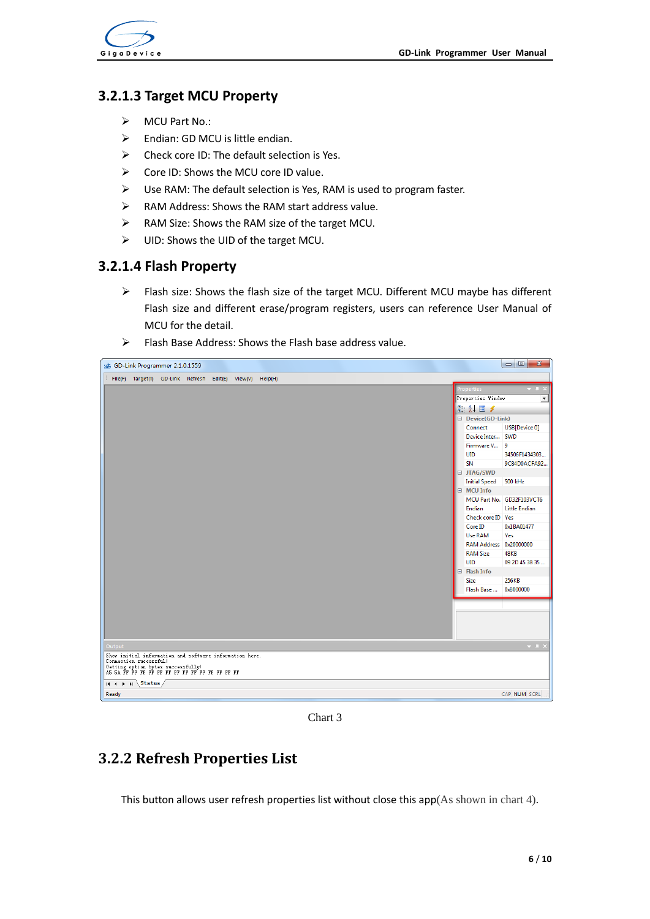

#### **3.2.1.3 Target MCU Property**

- $\triangleright$  MCU Part No.:
- $\triangleright$  Endian: GD MCU is little endian.
- $\triangleright$  Check core ID: The default selection is Yes.
- $\triangleright$  Core ID: Shows the MCU core ID value.
- $\triangleright$  Use RAM: The default selection is Yes, RAM is used to program faster.
- RAM Address: Shows the RAM start address value.
- $\triangleright$  RAM Size: Shows the RAM size of the target MCU.
- $\triangleright$  UID: Shows the UID of the target MCU.

#### **3.2.1.4 Flash Property**

- Flash size: Shows the flash size of the target MCU. Different MCU maybe has different Flash size and different erase/program registers, users can reference User Manual of MCU for the detail.
- $\triangleright$  Flash Base Address: Shows the Flash base address value.



Chart 3

### **3.2.2 Refresh Properties List**

This button allows user refresh properties list without close this  $app(As shown in chart 4)$ .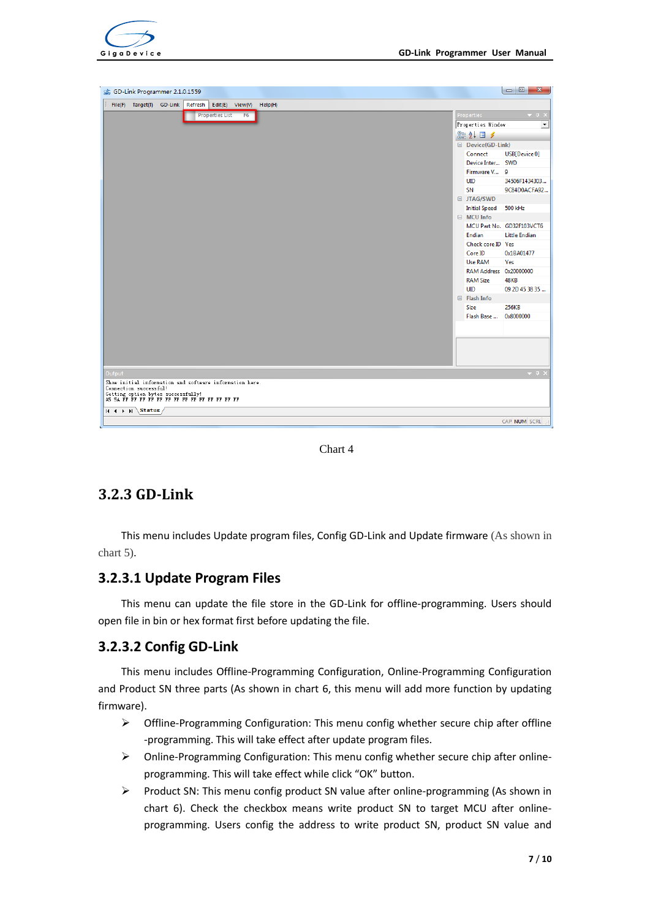





# **3.2.3 GD-Link**

This menu includes Update program files, Config GD-Link and Update firmware (As shown in chart 5).

### **3.2.3.1 Update Program Files**

This menu can update the file store in the GD-Link for offline-programming. Users should open file in bin or hex format first before updating the file.

### **3.2.3.2 Config GD-Link**

This menu includes Offline-Programming Configuration, Online-Programming Configuration and Product SN three parts (As shown in chart 6, this menu will add more function by updating firmware).

- $\triangleright$  Offline-Programming Configuration: This menu config whether secure chip after offline -programming. This will take effect after update program files.
- Online-Programming Configuration: This menu config whether secure chip after onlineprogramming. This will take effect while click "OK" button.
- $\triangleright$  Product SN: This menu config product SN value after online-programming (As shown in chart 6). Check the checkbox means write product SN to target MCU after onlineprogramming. Users config the address to write product SN, product SN value and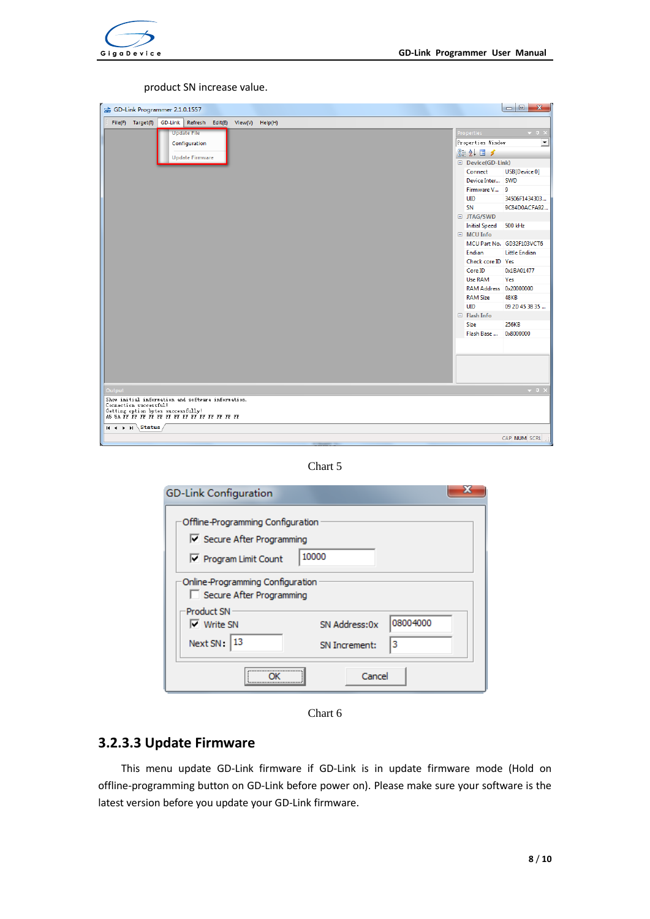

#### product SN increase value.

| 2.1.0.1557                                                         |                        | $\Box$<br>$\mathbf{x}$    |
|--------------------------------------------------------------------|------------------------|---------------------------|
| GD-Link Refresh<br>File(F) Target(T)<br>Edit(E)<br>View(V) Help(H) |                        |                           |
| <b>Update File</b>                                                 | <b>Properties</b>      | $-1$                      |
| Configuration                                                      | Properties Window      | ≛                         |
|                                                                    | 312.7                  |                           |
| <b>Update Firmware</b>                                             | Device(GD-Link)        |                           |
|                                                                    | Connect                | USB[Device 0]             |
|                                                                    | Device Inter SWD       |                           |
|                                                                    | Firmware V 9           |                           |
|                                                                    | <b>UID</b>             | 34506F1434303             |
|                                                                    | SN                     | 9C84D0ACFA92              |
|                                                                    | □ JTAG/SWD             |                           |
|                                                                    | Initial Speed 500 kHz  |                           |
|                                                                    | $\Box$ MCU Info        |                           |
|                                                                    |                        | MCU Part No. GD32F103VCT6 |
|                                                                    | Endian                 | <b>Little Endian</b>      |
|                                                                    | Check core ID Yes      |                           |
|                                                                    | Core ID                | 0x1BA01477                |
|                                                                    | <b>Use RAM</b>         | Yes                       |
|                                                                    | RAM Address 0x20000000 |                           |
|                                                                    | <b>RAM Size</b>        | <b>48KB</b>               |
|                                                                    | <b>UID</b>             | 09 2D 45 38 35            |
|                                                                    | $\Box$ Flash Info      |                           |
|                                                                    | Size                   | 256KB                     |
|                                                                    | Flash Base             | 0x8000000                 |
|                                                                    |                        |                           |
|                                                                    |                        |                           |
|                                                                    |                        |                           |
|                                                                    |                        |                           |
|                                                                    |                        |                           |
| Output                                                             |                        | $-1$                      |
| Show initial information and software information.                 |                        |                           |
| Connection successful!                                             |                        |                           |
|                                                                    |                        |                           |
| Status<br>$H + H$                                                  |                        |                           |
|                                                                    |                        | CAP NUM SCRL              |



| <b>GD-Link Configuration</b>                                                         |                                                 |  |  |  |  |  |  |
|--------------------------------------------------------------------------------------|-------------------------------------------------|--|--|--|--|--|--|
| Offline-Programming Configuration<br>Secure After Programming<br>Program Limit Count | 10000                                           |  |  |  |  |  |  |
| Online-Programming Configuration<br>Secure After Programming                         |                                                 |  |  |  |  |  |  |
| <b>Product SN</b><br>$\nabla$ Write SN<br>Next SN: 13                                | 08004000<br>SN Address:0x<br>3<br>SN Increment: |  |  |  |  |  |  |
|                                                                                      | Cancel                                          |  |  |  |  |  |  |

Chart 6

## **3.2.3.3 Update Firmware**

This menu update GD-Link firmware if GD-Link is in update firmware mode (Hold on offline-programming button on GD-Link before power on). Please make sure your software is the latest version before you update your GD-Link firmware.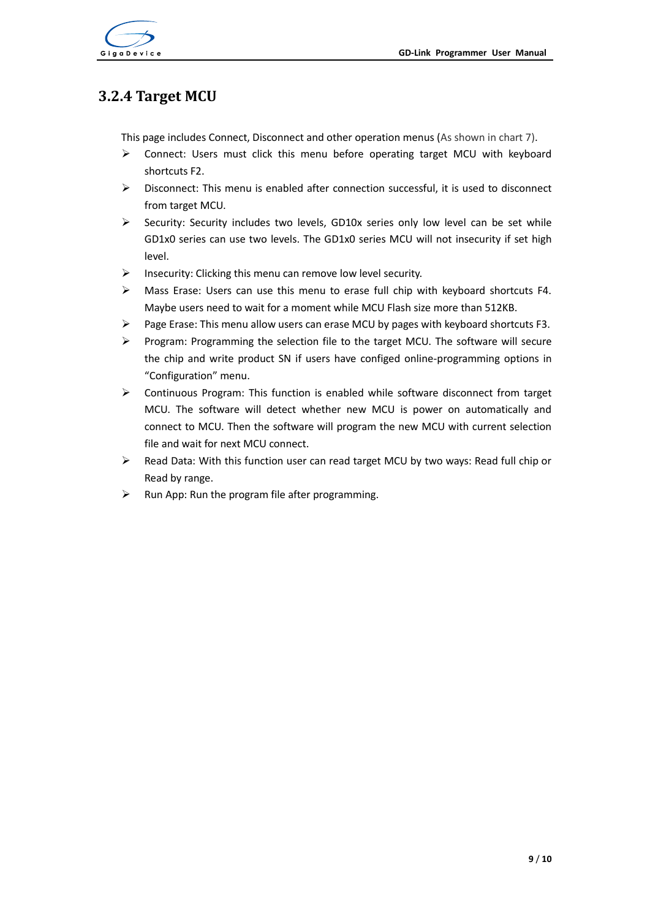



# **3.2.4 Target MCU**

This page includes Connect, Disconnect and other operation menus (As shown in chart 7).

- Connect: Users must click this menu before operating target MCU with keyboard shortcuts F2.
- $\triangleright$  Disconnect: This menu is enabled after connection successful, it is used to disconnect from target MCU.
- Security: Security includes two levels. GD10x series only low level can be set while GD1x0 series can use two levels. The GD1x0 series MCU will not insecurity if set high level.
- $\triangleright$  Insecurity: Clicking this menu can remove low level security.
- Mass Erase: Users can use this menu to erase full chip with keyboard shortcuts F4. Maybe users need to wait for a moment while MCU Flash size more than 512KB.
- $\triangleright$  Page Erase: This menu allow users can erase MCU by pages with keyboard shortcuts F3.
- $\triangleright$  Program: Programming the selection file to the target MCU. The software will secure the chip and write product SN if users have configed online-programming options in "Configuration" menu.
- $\triangleright$  Continuous Program: This function is enabled while software disconnect from target MCU. The software will detect whether new MCU is power on automatically and connect to MCU. Then the software will program the new MCU with current selection file and wait for next MCU connect.
- $\triangleright$  Read Data: With this function user can read target MCU by two ways: Read full chip or Read by range.
- $\triangleright$  Run App: Run the program file after programming.